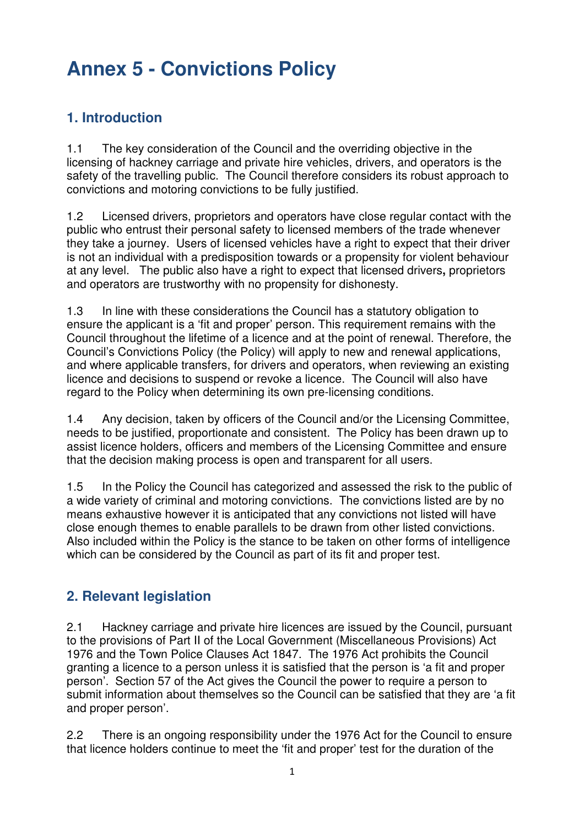### **1. Introduction**

1.1 The key consideration of the Council and the overriding objective in the licensing of hackney carriage and private hire vehicles, drivers, and operators is the safety of the travelling public. The Council therefore considers its robust approach to convictions and motoring convictions to be fully justified.

1.2 Licensed drivers, proprietors and operators have close regular contact with the public who entrust their personal safety to licensed members of the trade whenever they take a journey. Users of licensed vehicles have a right to expect that their driver is not an individual with a predisposition towards or a propensity for violent behaviour at any level. The public also have a right to expect that licensed drivers**,** proprietors and operators are trustworthy with no propensity for dishonesty.

1.3 In line with these considerations the Council has a statutory obligation to ensure the applicant is a 'fit and proper' person. This requirement remains with the Council throughout the lifetime of a licence and at the point of renewal. Therefore, the Council's Convictions Policy (the Policy) will apply to new and renewal applications, and where applicable transfers, for drivers and operators, when reviewing an existing licence and decisions to suspend or revoke a licence. The Council will also have regard to the Policy when determining its own pre-licensing conditions.

1.4 Any decision, taken by officers of the Council and/or the Licensing Committee, needs to be justified, proportionate and consistent. The Policy has been drawn up to assist licence holders, officers and members of the Licensing Committee and ensure that the decision making process is open and transparent for all users.

1.5 In the Policy the Council has categorized and assessed the risk to the public of a wide variety of criminal and motoring convictions. The convictions listed are by no means exhaustive however it is anticipated that any convictions not listed will have close enough themes to enable parallels to be drawn from other listed convictions. Also included within the Policy is the stance to be taken on other forms of intelligence which can be considered by the Council as part of its fit and proper test.

### **2. Relevant legislation**

2.1 Hackney carriage and private hire licences are issued by the Council, pursuant to the provisions of Part II of the Local Government (Miscellaneous Provisions) Act 1976 and the Town Police Clauses Act 1847. The 1976 Act prohibits the Council granting a licence to a person unless it is satisfied that the person is 'a fit and proper person'. Section 57 of the Act gives the Council the power to require a person to submit information about themselves so the Council can be satisfied that they are 'a fit and proper person'.

2.2 There is an ongoing responsibility under the 1976 Act for the Council to ensure that licence holders continue to meet the 'fit and proper' test for the duration of the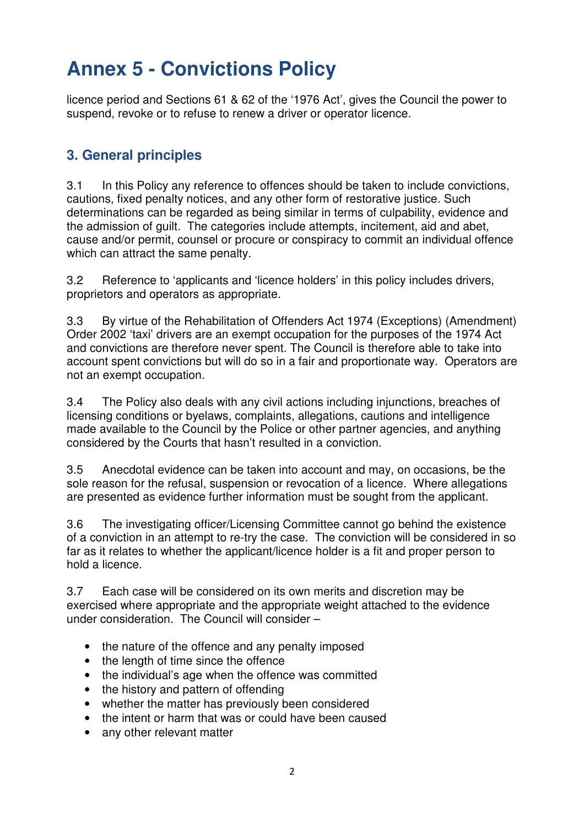licence period and Sections 61 & 62 of the '1976 Act', gives the Council the power to suspend, revoke or to refuse to renew a driver or operator licence.

### **3. General principles**

3.1 In this Policy any reference to offences should be taken to include convictions, cautions, fixed penalty notices, and any other form of restorative justice. Such determinations can be regarded as being similar in terms of culpability, evidence and the admission of guilt. The categories include attempts, incitement, aid and abet, cause and/or permit, counsel or procure or conspiracy to commit an individual offence which can attract the same penalty.

3.2 Reference to 'applicants and 'licence holders' in this policy includes drivers, proprietors and operators as appropriate.

3.3 By virtue of the Rehabilitation of Offenders Act 1974 (Exceptions) (Amendment) Order 2002 'taxi' drivers are an exempt occupation for the purposes of the 1974 Act and convictions are therefore never spent. The Council is therefore able to take into account spent convictions but will do so in a fair and proportionate way. Operators are not an exempt occupation.

3.4 The Policy also deals with any civil actions including injunctions, breaches of licensing conditions or byelaws, complaints, allegations, cautions and intelligence made available to the Council by the Police or other partner agencies, and anything considered by the Courts that hasn't resulted in a conviction.

3.5 Anecdotal evidence can be taken into account and may, on occasions, be the sole reason for the refusal, suspension or revocation of a licence. Where allegations are presented as evidence further information must be sought from the applicant.

3.6 The investigating officer/Licensing Committee cannot go behind the existence of a conviction in an attempt to re-try the case. The conviction will be considered in so far as it relates to whether the applicant/licence holder is a fit and proper person to hold a licence.

3.7 Each case will be considered on its own merits and discretion may be exercised where appropriate and the appropriate weight attached to the evidence under consideration. The Council will consider –

- the nature of the offence and any penalty imposed
- the length of time since the offence
- the individual's age when the offence was committed
- the history and pattern of offending
- whether the matter has previously been considered
- the intent or harm that was or could have been caused
- any other relevant matter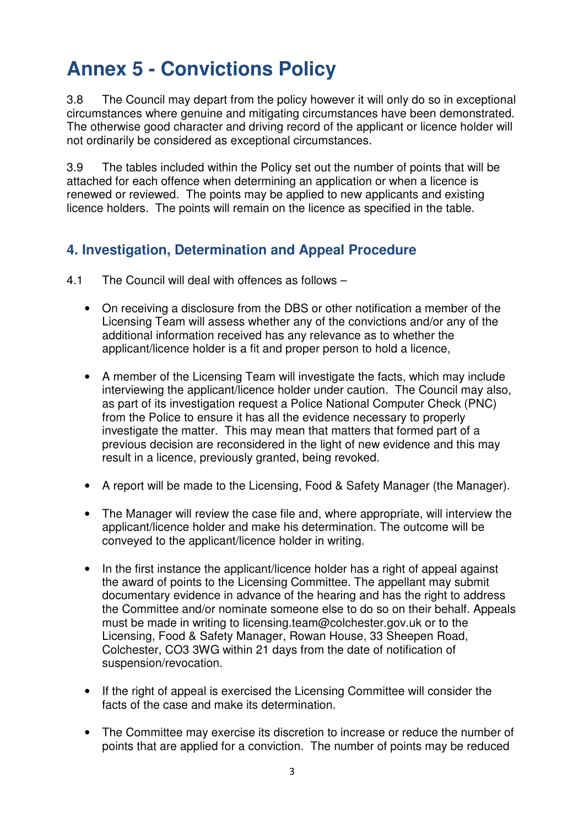3.8 The Council may depart from the policy however it will only do so in exceptional circumstances where genuine and mitigating circumstances have been demonstrated. The otherwise good character and driving record of the applicant or licence holder will not ordinarily be considered as exceptional circumstances.

3.9 The tables included within the Policy set out the number of points that will be attached for each offence when determining an application or when a licence is renewed or reviewed. The points may be applied to new applicants and existing licence holders. The points will remain on the licence as specified in the table.

### **4. Investigation, Determination and Appeal Procedure**

- 4.1 The Council will deal with offences as follows
	- On receiving a disclosure from the DBS or other notification a member of the Licensing Team will assess whether any of the convictions and/or any of the additional information received has any relevance as to whether the applicant/licence holder is a fit and proper person to hold a licence,
	- A member of the Licensing Team will investigate the facts, which may include interviewing the applicant/licence holder under caution. The Council may also, as part of its investigation request a Police National Computer Check (PNC) from the Police to ensure it has all the evidence necessary to properly investigate the matter. This may mean that matters that formed part of a previous decision are reconsidered in the light of new evidence and this may result in a licence, previously granted, being revoked.
	- A report will be made to the Licensing, Food & Safety Manager (the Manager).
	- The Manager will review the case file and, where appropriate, will interview the applicant/licence holder and make his determination. The outcome will be conveyed to the applicant/licence holder in writing.
	- In the first instance the applicant/licence holder has a right of appeal against the award of points to the Licensing Committee. The appellant may submit documentary evidence in advance of the hearing and has the right to address the Committee and/or nominate someone else to do so on their behalf. Appeals must be made in writing to licensing.team@colchester.gov.uk or to the Licensing, Food & Safety Manager, Rowan House, 33 Sheepen Road, Colchester, CO3 3WG within 21 days from the date of notification of suspension/revocation.
	- If the right of appeal is exercised the Licensing Committee will consider the facts of the case and make its determination.
	- The Committee may exercise its discretion to increase or reduce the number of points that are applied for a conviction. The number of points may be reduced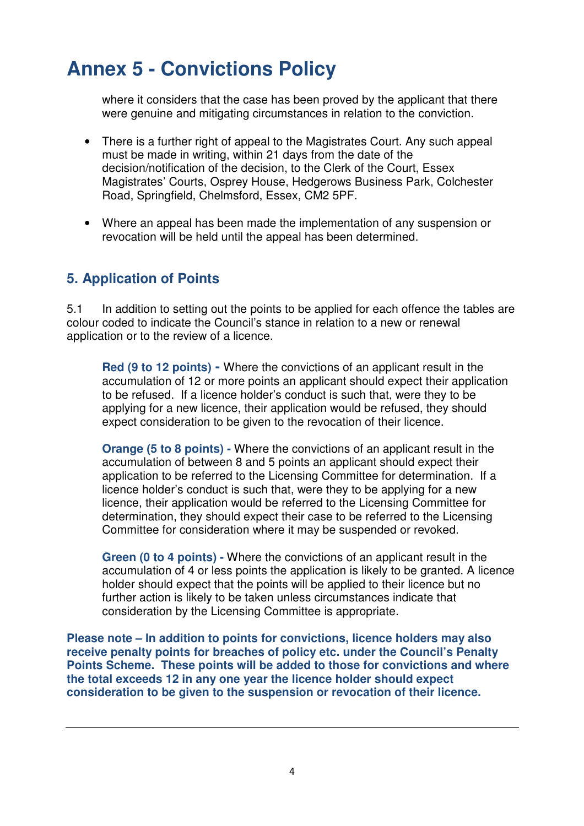where it considers that the case has been proved by the applicant that there were genuine and mitigating circumstances in relation to the conviction.

- There is a further right of appeal to the Magistrates Court. Any such appeal must be made in writing, within 21 days from the date of the decision/notification of the decision, to the Clerk of the Court, Essex Magistrates' Courts, Osprey House, Hedgerows Business Park, Colchester Road, Springfield, Chelmsford, Essex, CM2 5PF.
- Where an appeal has been made the implementation of any suspension or revocation will be held until the appeal has been determined.

### **5. Application of Points**

5.1 In addition to setting out the points to be applied for each offence the tables are colour coded to indicate the Council's stance in relation to a new or renewal application or to the review of a licence.

**Red (9 to 12 points) -** Where the convictions of an applicant result in the accumulation of 12 or more points an applicant should expect their application to be refused. If a licence holder's conduct is such that, were they to be applying for a new licence, their application would be refused, they should expect consideration to be given to the revocation of their licence.

**Orange (5 to 8 points) -** Where the convictions of an applicant result in the accumulation of between 8 and 5 points an applicant should expect their application to be referred to the Licensing Committee for determination. If a licence holder's conduct is such that, were they to be applying for a new licence, their application would be referred to the Licensing Committee for determination, they should expect their case to be referred to the Licensing Committee for consideration where it may be suspended or revoked.

**Green (0 to 4 points) -** Where the convictions of an applicant result in the accumulation of 4 or less points the application is likely to be granted. A licence holder should expect that the points will be applied to their licence but no further action is likely to be taken unless circumstances indicate that consideration by the Licensing Committee is appropriate.

**Please note – In addition to points for convictions, licence holders may also receive penalty points for breaches of policy etc. under the Council's Penalty Points Scheme. These points will be added to those for convictions and where the total exceeds 12 in any one year the licence holder should expect consideration to be given to the suspension or revocation of their licence.**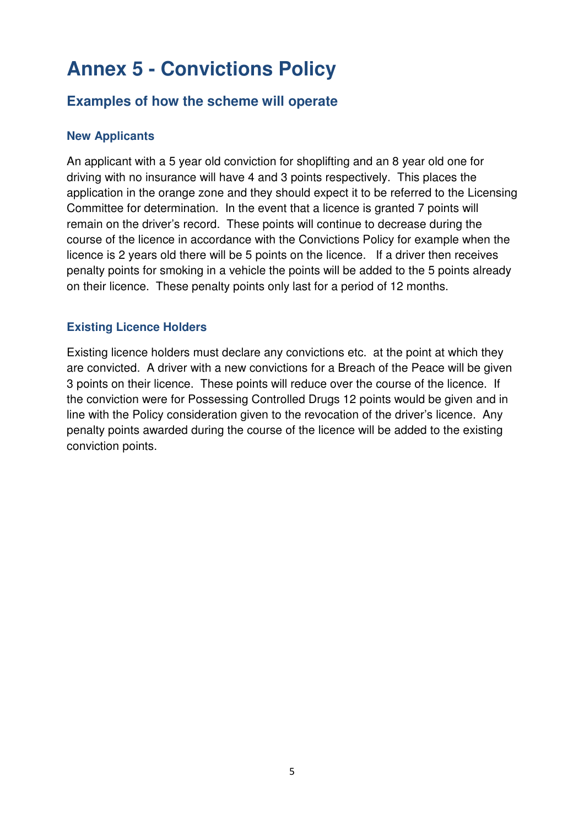### **Examples of how the scheme will operate**

#### **New Applicants**

An applicant with a 5 year old conviction for shoplifting and an 8 year old one for driving with no insurance will have 4 and 3 points respectively. This places the application in the orange zone and they should expect it to be referred to the Licensing Committee for determination. In the event that a licence is granted 7 points will remain on the driver's record. These points will continue to decrease during the course of the licence in accordance with the Convictions Policy for example when the licence is 2 years old there will be 5 points on the licence. If a driver then receives penalty points for smoking in a vehicle the points will be added to the 5 points already on their licence. These penalty points only last for a period of 12 months.

#### **Existing Licence Holders**

Existing licence holders must declare any convictions etc. at the point at which they are convicted. A driver with a new convictions for a Breach of the Peace will be given 3 points on their licence. These points will reduce over the course of the licence. If the conviction were for Possessing Controlled Drugs 12 points would be given and in line with the Policy consideration given to the revocation of the driver's licence. Any penalty points awarded during the course of the licence will be added to the existing conviction points.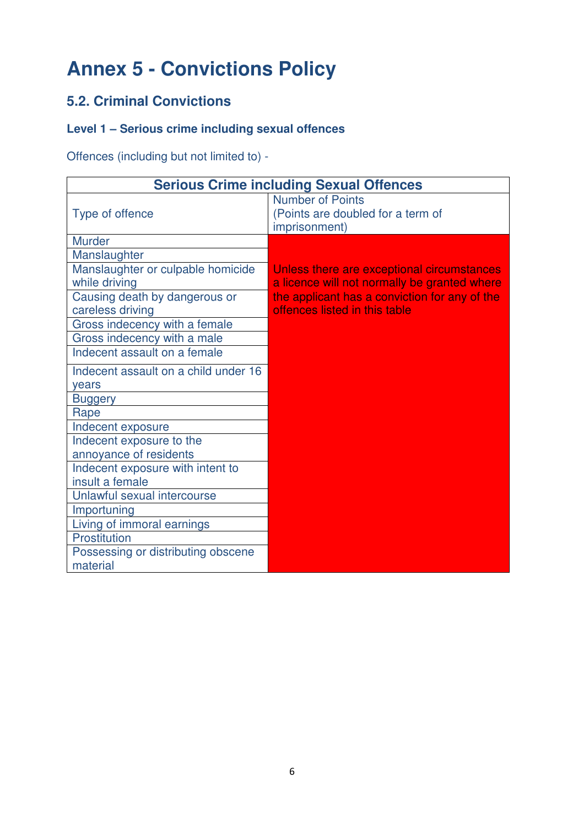## **5.2. Criminal Convictions**

### **Level 1 – Serious crime including sexual offences**

Offences (including but not limited to) -

|                                                    | <b>Serious Crime including Sexual Offences</b>                                             |
|----------------------------------------------------|--------------------------------------------------------------------------------------------|
| Type of offence                                    | <b>Number of Points</b><br>(Points are doubled for a term of<br>imprisonment)              |
| <b>Murder</b>                                      |                                                                                            |
| Manslaughter                                       |                                                                                            |
| Manslaughter or culpable homicide<br>while driving | Unless there are exceptional circumstances<br>a licence will not normally be granted where |
| Causing death by dangerous or<br>careless driving  | the applicant has a conviction for any of the<br>offences listed in this table             |
| Gross indecency with a female                      |                                                                                            |
| Gross indecency with a male                        |                                                                                            |
| Indecent assault on a female                       |                                                                                            |
| Indecent assault on a child under 16               |                                                                                            |
| years                                              |                                                                                            |
| <b>Buggery</b>                                     |                                                                                            |
| Rape                                               |                                                                                            |
| Indecent exposure                                  |                                                                                            |
| Indecent exposure to the                           |                                                                                            |
| annoyance of residents                             |                                                                                            |
| Indecent exposure with intent to                   |                                                                                            |
| insult a female                                    |                                                                                            |
| Unlawful sexual intercourse                        |                                                                                            |
| Importuning                                        |                                                                                            |
| Living of immoral earnings                         |                                                                                            |
| Prostitution                                       |                                                                                            |
| Possessing or distributing obscene<br>material     |                                                                                            |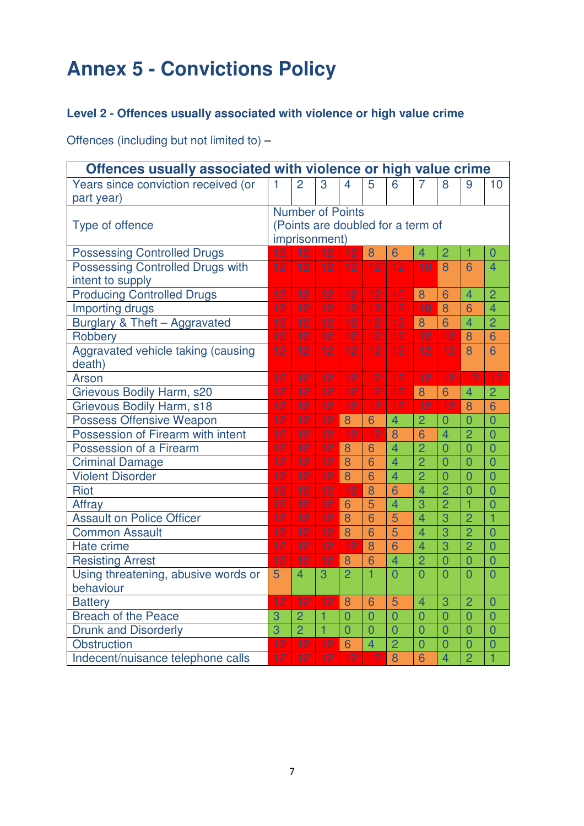### **Level 2 - Offences usually associated with violence or high value crime**

Offences (including but not limited to) –

| Offences usually associated with violence or high value crime |                 |                 |                         |                 |                 |                                   |                |                |                |                |
|---------------------------------------------------------------|-----------------|-----------------|-------------------------|-----------------|-----------------|-----------------------------------|----------------|----------------|----------------|----------------|
| Years since conviction received (or                           | 1               | $\overline{2}$  | 3                       | $\overline{4}$  | 5               | 6                                 | $\overline{7}$ | 8              | 9              | 10             |
| part year)                                                    |                 |                 |                         |                 |                 |                                   |                |                |                |                |
|                                                               |                 |                 | <b>Number of Points</b> |                 |                 |                                   |                |                |                |                |
| Type of offence                                               |                 |                 |                         |                 |                 | (Points are doubled for a term of |                |                |                |                |
|                                                               |                 |                 | imprisonment)           |                 |                 |                                   |                |                |                |                |
| <b>Possessing Controlled Drugs</b>                            | 12              | $\overline{12}$ | 12                      | 12              | 8               | 6                                 | $\overline{4}$ | $\overline{2}$ | 1              | $\overline{0}$ |
| <b>Possessing Controlled Drugs with</b>                       | $\overline{12}$ | $\overline{12}$ | $\overline{12}$         | $\overline{12}$ | $\overline{12}$ | $\overline{12}$                   | 10             | 8              | 6              | $\overline{4}$ |
| intent to supply                                              |                 |                 |                         |                 |                 |                                   |                |                |                |                |
| <b>Producing Controlled Drugs</b>                             | 12              | 12              | 12                      | 12              | 12              | 10                                | 8              | 6              | $\overline{4}$ | $\overline{2}$ |
| Importing drugs                                               | 12              | $\overline{12}$ | 12                      | $\overline{12}$ | $\overline{12}$ | $\overline{12}$                   | 10             | 8              | 6              | $\overline{4}$ |
| Burglary & Theft - Aggravated                                 | 12              | 12              | 12                      | 12              | 12              | 12                                | 8              | 6              | $\overline{4}$ | $\overline{2}$ |
| Robbery                                                       | 12              | 12              | 12                      | 12              | 12              | $\overline{12}$                   | 12             | 12             | 8              | 6              |
| Aggravated vehicle taking (causing                            | 12              | 12              | 12                      | 12              | 12              | 12                                | 12             | 12             | 8              | 6              |
| death)                                                        |                 |                 |                         |                 |                 |                                   |                |                |                |                |
| Arson                                                         | 12              | 12              | 12                      | 12              | 12              | 12                                | 12             | 12             | 12             | 12             |
| Grievous Bodily Harm, s20                                     | 12              | 12              | 12                      | 12              | 12              | 12                                | 8              | 6              | $\overline{4}$ | $\overline{2}$ |
| Grievous Bodily Harm, s18                                     | 12              | 12              | 12                      | 12              | 12              | 12                                | 12             | 12             | 8              | 6              |
| <b>Possess Offensive Weapon</b>                               | 12              | 12              | 12                      | 8               | 6               | $\overline{4}$                    | $\overline{2}$ | $\overline{0}$ | $\overline{0}$ | $\overline{0}$ |
| Possession of Firearm with intent                             | 12              | $\overline{12}$ | $\overline{12}$         | 12              | 12              | 8                                 | 6              | $\overline{4}$ | $\overline{2}$ | $\overline{0}$ |
| Possession of a Firearm                                       | 12              | 12              | 12                      | 8               | 6               | $\overline{4}$                    | $\overline{2}$ | $\overline{0}$ | $\overline{0}$ | $\overline{0}$ |
| <b>Criminal Damage</b>                                        | 12              | 12              | 12                      | 8               | 6               | $\overline{4}$                    | $\overline{2}$ | $\overline{0}$ | $\overline{0}$ | $\overline{0}$ |
| <b>Violent Disorder</b>                                       | 12              | 12              | 12                      | 8               | 6               | $\overline{4}$                    | $\overline{2}$ | $\overline{0}$ | $\overline{0}$ | $\overline{0}$ |
| Riot                                                          | 12              | 12              | 12                      | 12              | 8               | 6                                 | $\overline{4}$ | $\overline{2}$ | $\overline{0}$ | $\overline{0}$ |
| Affray                                                        | 12              | 12              | 12                      | 6               | 5               | $\overline{4}$                    | $\overline{3}$ | $\overline{2}$ | $\overline{1}$ | $\overline{0}$ |
| <b>Assault on Police Officer</b>                              | 12              | 12              | 12                      | 8               | 6               | 5                                 | $\overline{4}$ | 3              | $\overline{2}$ | $\overline{1}$ |
| <b>Common Assault</b>                                         | $\overline{12}$ | $\overline{12}$ | $\overline{12}$         | 8               | 6               | 5                                 | $\overline{4}$ | $\overline{3}$ | $\overline{2}$ | $\overline{0}$ |
| Hate crime                                                    | 12              | 12              | 12                      | 12              | 8               | $\overline{6}$                    | $\overline{4}$ | $\overline{3}$ | $\overline{2}$ | $\overline{0}$ |
| <b>Resisting Arrest</b>                                       | $\overline{12}$ | 12              | 12                      | 8               | 6               | $\overline{4}$                    | $\overline{2}$ | $\overline{0}$ | $\overline{0}$ | $\overline{0}$ |
| Using threatening, abusive words or                           | 5               | $\overline{4}$  | 3                       | $\overline{2}$  | 1               | $\overline{O}$                    | $\Omega$       | $\Omega$       | $\overline{0}$ | $\overline{0}$ |
| behaviour                                                     |                 |                 |                         |                 |                 |                                   |                |                |                |                |
| <b>Battery</b>                                                | 12              | 12              | 12                      | 8               | 6               | 5                                 | $\overline{4}$ | 3              | $\overline{2}$ | $\overline{0}$ |
| <b>Breach of the Peace</b>                                    | 3               | $\overline{2}$  | 1                       | $\overline{0}$  | $\overline{0}$  | $\overline{0}$                    | $\overline{0}$ | $\overline{0}$ | $\overline{0}$ | $\overline{0}$ |
| <b>Drunk and Disorderly</b>                                   | $\overline{3}$  | $\overline{2}$  | $\overline{1}$          | $\overline{0}$  | $\overline{0}$  | $\overline{0}$                    | $\overline{0}$ | $\overline{0}$ | $\overline{0}$ | $\overline{0}$ |
| Obstruction                                                   | 12              | 12              | 12                      | 6               | $\overline{4}$  | $\overline{2}$                    | $\overline{0}$ | $\overline{0}$ | $\overline{0}$ | $\overline{0}$ |
| Indecent/nuisance telephone calls                             | 12              | 12              | 12                      | 12              | 12              | 8                                 | 6              | $\overline{4}$ | $\overline{2}$ | $\overline{1}$ |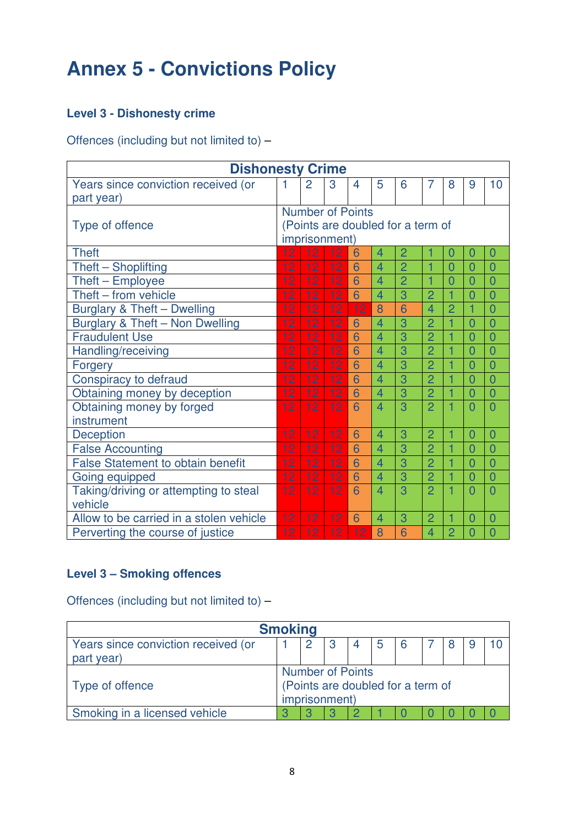### **Level 3 - Dishonesty crime**

Offences (including but not limited to) –

| <b>Dishonesty Crime</b>                  |                                   |                         |    |                |                |                |                |                |                |                |
|------------------------------------------|-----------------------------------|-------------------------|----|----------------|----------------|----------------|----------------|----------------|----------------|----------------|
| Years since conviction received (or      |                                   | $\overline{2}$          | 3  | $\overline{4}$ | 5              | 6              | 7              | 8              | 9              | 10             |
| part year)                               |                                   |                         |    |                |                |                |                |                |                |                |
|                                          |                                   | <b>Number of Points</b> |    |                |                |                |                |                |                |                |
| Type of offence                          | (Points are doubled for a term of |                         |    |                |                |                |                |                |                |                |
|                                          |                                   | imprisonment)           |    |                |                |                |                |                |                |                |
| <b>Theft</b>                             | 12                                | 12                      | 12 | 6              | $\overline{4}$ | $\overline{2}$ |                | 0              | $\overline{0}$ | $\overline{0}$ |
| Theft - Shoplifting                      | 12                                | 12                      | 12 | 6              | $\overline{4}$ | $\overline{2}$ |                | $\overline{0}$ | $\overline{0}$ | $\overline{0}$ |
| Theft - Employee                         | 12                                | 12                      | 12 | 6              | $\overline{4}$ | $\overline{2}$ | 1              | $\overline{0}$ | $\overline{0}$ | $\overline{0}$ |
| Theft - from vehicle                     | 12                                | 12                      | 12 | 6              | $\overline{4}$ | 3              | $\overline{2}$ | $\overline{1}$ | $\overline{0}$ | $\overline{0}$ |
| Burglary & Theft - Dwelling              | 12                                | 12                      | 12 | 12             | 8              | 6              | $\overline{4}$ | $\overline{2}$ | 1              | $\overline{0}$ |
| Burglary & Theft - Non Dwelling          | 12                                | 12                      | 12 | 6              | $\overline{4}$ | 3              | $\overline{2}$ |                | $\overline{0}$ | $\overline{0}$ |
| <b>Fraudulent Use</b>                    | 12                                | 12                      | 12 | 6              | $\overline{4}$ | 3              | $\overline{2}$ |                | $\overline{0}$ | $\overline{0}$ |
| Handling/receiving                       | 12                                | 12                      | 12 | 6              | $\overline{4}$ | 3              | $\overline{2}$ |                | $\overline{0}$ | $\overline{0}$ |
| <b>Forgery</b>                           | 12                                | 12                      | 12 | 6              | $\overline{4}$ | 3              | $\overline{2}$ | 1              | $\overline{0}$ | $\overline{0}$ |
| Conspiracy to defraud                    | 12                                | 12                      | 12 | 6              | $\overline{4}$ | 3              | $\overline{2}$ |                | $\overline{0}$ | $\overline{0}$ |
| Obtaining money by deception             | 12                                | 12                      | 12 | 6              | $\overline{4}$ | 3              | $\overline{2}$ | 1              | $\overline{0}$ | $\overline{0}$ |
| Obtaining money by forged                | 12                                | 12                      | 12 | 6              | $\overline{4}$ | 3              | $\overline{2}$ |                | $\overline{0}$ | $\overline{0}$ |
| instrument                               |                                   |                         |    |                |                |                |                |                |                |                |
| Deception                                | 12                                | 12                      | 12 | 6              | 4              | 3              | $\overline{2}$ |                | $\overline{0}$ | $\overline{0}$ |
| <b>False Accounting</b>                  | 12                                | 12                      | 12 | 6              | $\overline{4}$ | 3              | $\overline{2}$ |                | $\overline{0}$ | $\overline{0}$ |
| <b>False Statement to obtain benefit</b> | 12                                | 12                      | 12 | 6              | $\overline{4}$ | 3              | $\overline{2}$ | 1              | $\overline{0}$ | $\overline{0}$ |
| Going equipped                           | 12                                | 12                      | 12 | 6              | $\overline{4}$ | 3              | $\overline{2}$ | $\overline{1}$ | $\overline{0}$ | $\overline{0}$ |
| Taking/driving or attempting to steal    | 12                                | 12                      | 12 | 6              | $\overline{4}$ | 3              | $\overline{2}$ |                | $\overline{0}$ | $\overline{0}$ |
| vehicle                                  |                                   |                         |    |                |                |                |                |                |                |                |
| Allow to be carried in a stolen vehicle  | 12                                | 12                      | 12 | 6              | 4              | 3              | $\overline{2}$ | 1              | $\overline{0}$ | $\overline{0}$ |
| Perverting the course of justice         | 12                                | 12                      | 12 | 12             | 8              | 6              | $\overline{4}$ | $\overline{2}$ | $\overline{0}$ | $\overline{0}$ |

### **Level 3 – Smoking offences**

Offences (including but not limited to) –

|                                     | <b>Smoking</b> |               |  |  |  |                                   |  |  |
|-------------------------------------|----------------|---------------|--|--|--|-----------------------------------|--|--|
| Years since conviction received (or |                |               |  |  |  | 6                                 |  |  |
| part year)                          |                |               |  |  |  |                                   |  |  |
| <b>Number of Points</b>             |                |               |  |  |  |                                   |  |  |
| Type of offence                     |                |               |  |  |  | (Points are doubled for a term of |  |  |
|                                     |                | imprisonment) |  |  |  |                                   |  |  |
| Smoking in a licensed vehicle       |                |               |  |  |  |                                   |  |  |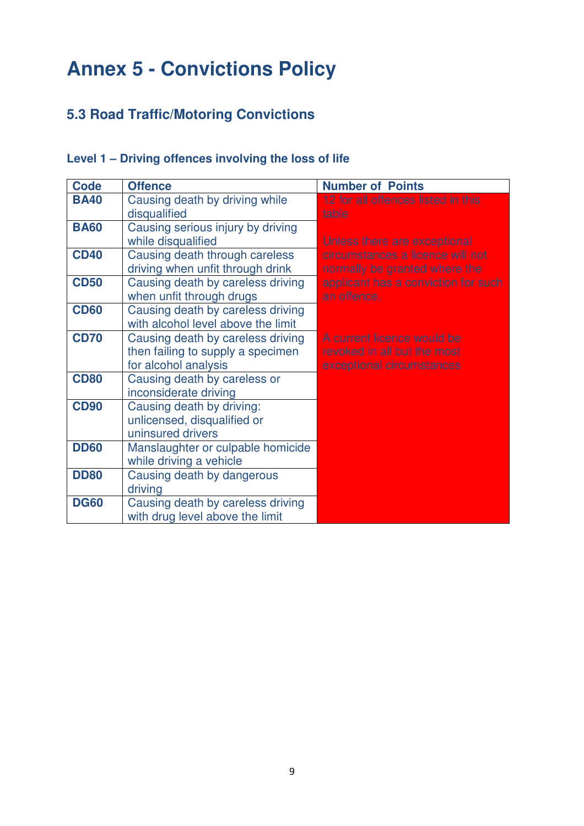## **5.3 Road Traffic/Motoring Convictions**

### **Level 1 – Driving offences involving the loss of life**

| <b>Code</b> | <b>Offence</b>                     | <b>Number of Points</b>             |
|-------------|------------------------------------|-------------------------------------|
| <b>BA40</b> | Causing death by driving while     | 12 for all offences listed in this  |
|             | disqualified                       | table                               |
| <b>BA60</b> | Causing serious injury by driving  |                                     |
|             | while disqualified                 | Unless there are exceptional        |
| <b>CD40</b> | Causing death through careless     | circumstances a licence will not    |
|             | driving when unfit through drink   | normally be granted where the       |
| <b>CD50</b> | Causing death by careless driving  | applicant has a conviction for such |
|             | when unfit through drugs           | an offence.                         |
| <b>CD60</b> | Causing death by careless driving  |                                     |
|             | with alcohol level above the limit |                                     |
| <b>CD70</b> | Causing death by careless driving  | A current licence would be          |
|             | then failing to supply a specimen  | revoked in all but the most         |
|             | for alcohol analysis               | exceptional circumstances           |
| <b>CD80</b> | Causing death by careless or       |                                     |
|             | inconsiderate driving              |                                     |
| <b>CD90</b> | Causing death by driving:          |                                     |
|             | unlicensed, disqualified or        |                                     |
|             | uninsured drivers                  |                                     |
| <b>DD60</b> | Manslaughter or culpable homicide  |                                     |
|             | while driving a vehicle            |                                     |
| <b>DD80</b> | Causing death by dangerous         |                                     |
|             | driving                            |                                     |
| <b>DG60</b> | Causing death by careless driving  |                                     |
|             | with drug level above the limit    |                                     |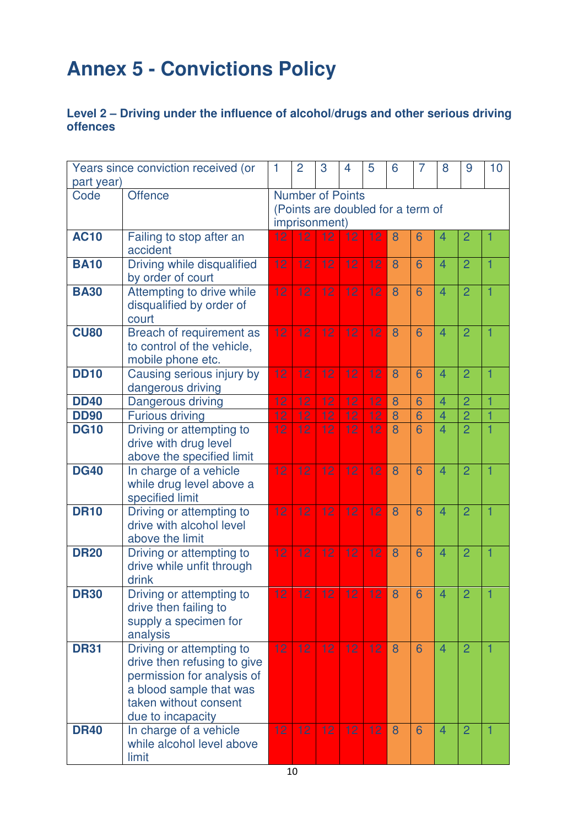#### **Level 2 – Driving under the influence of alcohol/drugs and other serious driving offences**

|             | Years since conviction received (or                     | 1               | $\overline{2}$          | 3  | 4  | 5  | 6                                 | $\overline{7}$ | 8              | 9              | 10 |
|-------------|---------------------------------------------------------|-----------------|-------------------------|----|----|----|-----------------------------------|----------------|----------------|----------------|----|
| part year)  |                                                         |                 |                         |    |    |    |                                   |                |                |                |    |
| Code        | <b>Offence</b>                                          |                 | <b>Number of Points</b> |    |    |    |                                   |                |                |                |    |
|             |                                                         |                 |                         |    |    |    | (Points are doubled for a term of |                |                |                |    |
|             |                                                         |                 | imprisonment)           |    |    |    |                                   |                |                |                |    |
| <b>AC10</b> | Failing to stop after an<br>accident                    | 12              | 12                      | 12 | 12 | 12 | 8                                 | 6              | 4              | $\overline{2}$ | 1  |
| <b>BA10</b> | Driving while disqualified                              | 12              | 12                      | 12 | 12 | 12 | 8                                 | 6              | 4              | $\overline{2}$ | 1  |
|             | by order of court                                       |                 |                         |    |    |    |                                   |                |                |                |    |
| <b>BA30</b> | Attempting to drive while                               | 12              | 12                      | 12 | 12 | 12 | 8                                 | 6              | $\overline{4}$ | $\overline{2}$ | 1  |
|             | disqualified by order of                                |                 |                         |    |    |    |                                   |                |                |                |    |
| <b>CU80</b> | court                                                   | 12              | 12                      | 12 | 12 | 12 | 8                                 | 6              | $\overline{4}$ | $\overline{2}$ | 1  |
|             | Breach of requirement as<br>to control of the vehicle,  |                 |                         |    |    |    |                                   |                |                |                |    |
|             | mobile phone etc.                                       |                 |                         |    |    |    |                                   |                |                |                |    |
| <b>DD10</b> | Causing serious injury by                               | 12              | 12                      | 12 | 12 | 12 | 8                                 | 6              | $\overline{4}$ | $\overline{2}$ | 1  |
|             | dangerous driving                                       |                 |                         |    |    |    |                                   |                |                |                |    |
| <b>DD40</b> | Dangerous driving                                       | 12              | 12                      | 12 | 12 | 12 | 8                                 | 6              | $\overline{4}$ | $\overline{2}$ | 1  |
| <b>DD90</b> | <b>Furious driving</b>                                  | 12              | 12                      | 12 | 12 | 12 | 8                                 | 6              | $\overline{4}$ | $\overline{2}$ | 1  |
| <b>DG10</b> | Driving or attempting to                                | 12              | 12                      | 12 | 12 | 12 | 8                                 | 6              | $\overline{4}$ | $\overline{2}$ | 1  |
|             | drive with drug level                                   |                 |                         |    |    |    |                                   |                |                |                |    |
|             | above the specified limit                               |                 |                         |    |    |    |                                   |                |                |                |    |
| <b>DG40</b> | In charge of a vehicle                                  | 12              | 12                      | 12 | 12 | 12 | 8                                 | 6              | $\overline{4}$ | $\overline{2}$ | 1  |
|             | while drug level above a                                |                 |                         |    |    |    |                                   |                |                |                |    |
| <b>DR10</b> | specified limit<br>Driving or attempting to             | 12              | 12                      | 12 | 12 | 12 | 8                                 | 6              | $\overline{4}$ | $\overline{2}$ | 1  |
|             | drive with alcohol level                                |                 |                         |    |    |    |                                   |                |                |                |    |
|             | above the limit                                         |                 |                         |    |    |    |                                   |                |                |                |    |
| <b>DR20</b> | Driving or attempting to                                | 12              | 12                      | 12 | 12 | 12 | 8                                 | 6              | $\overline{4}$ | $\overline{2}$ | 1  |
|             | drive while unfit through                               |                 |                         |    |    |    |                                   |                |                |                |    |
|             | drink                                                   |                 |                         |    |    |    |                                   |                |                |                |    |
| <b>DR30</b> | Driving or attempting to                                | 12              | 12                      | 12 | 12 | 12 | 8                                 | 6              | $\overline{4}$ | $\overline{2}$ | 1  |
|             | drive then failing to                                   |                 |                         |    |    |    |                                   |                |                |                |    |
|             | supply a specimen for                                   |                 |                         |    |    |    |                                   |                |                |                |    |
| <b>DR31</b> | analysis                                                | 12 <sub>2</sub> | 12                      | 12 |    |    | 8                                 | 6              | $\overline{4}$ |                |    |
|             | Driving or attempting to<br>drive then refusing to give |                 |                         |    | 12 | 12 |                                   |                |                | $\overline{2}$ | 1  |
|             | permission for analysis of                              |                 |                         |    |    |    |                                   |                |                |                |    |
|             | a blood sample that was                                 |                 |                         |    |    |    |                                   |                |                |                |    |
|             | taken without consent                                   |                 |                         |    |    |    |                                   |                |                |                |    |
|             | due to incapacity                                       |                 |                         |    |    |    |                                   |                |                |                |    |
| <b>DR40</b> | In charge of a vehicle                                  | 12              | 12                      | 12 | 12 | 12 | 8                                 | 6              | $\overline{4}$ | $\overline{2}$ | 1  |
|             | while alcohol level above                               |                 |                         |    |    |    |                                   |                |                |                |    |
|             | limit                                                   |                 |                         |    |    |    |                                   |                |                |                |    |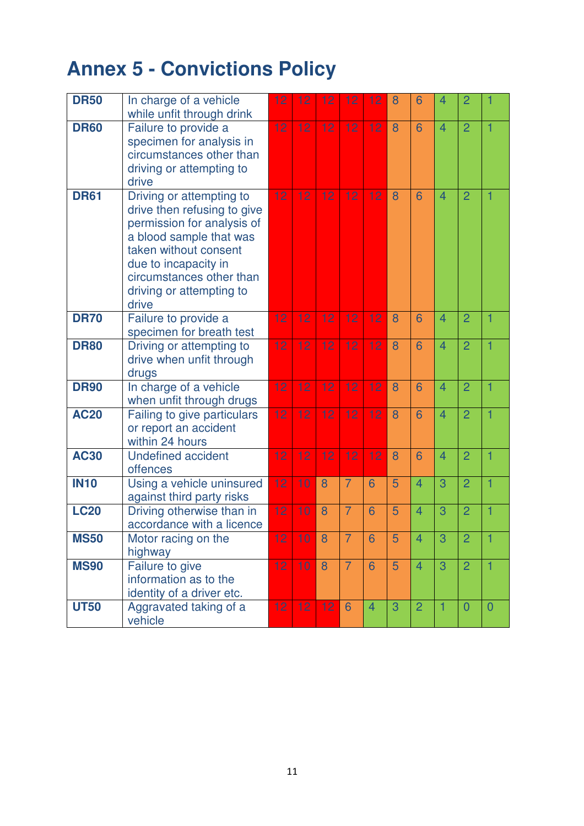| <b>DR50</b> | In charge of a vehicle<br>while unfit through drink                                                                                                                                                                                | 12 | 12 | 12 | 12             | 12             | 8 | 6              | 4                        | 2              |                |
|-------------|------------------------------------------------------------------------------------------------------------------------------------------------------------------------------------------------------------------------------------|----|----|----|----------------|----------------|---|----------------|--------------------------|----------------|----------------|
| <b>DR60</b> | Failure to provide a<br>specimen for analysis in<br>circumstances other than<br>driving or attempting to<br>drive                                                                                                                  | 12 | 12 | 12 | 12             | 12             | 8 | 6              | $\overline{4}$           | $\overline{2}$ | 1              |
| <b>DR61</b> | Driving or attempting to<br>drive then refusing to give<br>permission for analysis of<br>a blood sample that was<br>taken without consent<br>due to incapacity in<br>circumstances other than<br>driving or attempting to<br>drive | 12 | 12 | 12 | 12             | 12             | 8 | 6              | $\overline{4}$           | $\overline{2}$ | 1              |
| <b>DR70</b> | Failure to provide a<br>specimen for breath test                                                                                                                                                                                   | 12 | 12 | 12 | 12             | 12             | 8 | 6              | $\overline{4}$           | $\overline{2}$ | 1              |
| <b>DR80</b> | Driving or attempting to<br>drive when unfit through<br>drugs                                                                                                                                                                      | 12 | 12 | 12 | 12             | 12             | 8 | 6              | $\overline{4}$           | $\overline{2}$ | 1              |
| <b>DR90</b> | In charge of a vehicle<br>when unfit through drugs                                                                                                                                                                                 | 12 | 12 | 12 | 12             | 12             | 8 | 6              | $\overline{4}$           | $\overline{2}$ | 1              |
| <b>AC20</b> | Failing to give particulars<br>or report an accident<br>within 24 hours                                                                                                                                                            | 12 | 12 | 12 | 12             | 12             | 8 | 6              | $\overline{4}$           | $\overline{2}$ |                |
| <b>AC30</b> | <b>Undefined accident</b><br>offences                                                                                                                                                                                              | 12 | 12 | 12 | 12             | 12             | 8 | 6              | $\overline{\mathcal{A}}$ | $\overline{2}$ | 1              |
| <b>IN10</b> | Using a vehicle uninsured<br>against third party risks                                                                                                                                                                             | 12 | 10 | 8  | $\overline{7}$ | 6              | 5 | $\overline{4}$ | 3                        | $\overline{2}$ | 1              |
| <b>LC20</b> | Driving otherwise than in<br>accordance with a licence                                                                                                                                                                             | 12 | 10 | 8  | $\overline{7}$ | 6              | 5 | $\overline{4}$ | 3                        | $\overline{2}$ | 1              |
| <b>MS50</b> | Motor racing on the<br>highway                                                                                                                                                                                                     | 12 | 10 | 8  | $\overline{7}$ | 6              | 5 | 4              | 3                        | $\overline{2}$ | 1              |
| <b>MS90</b> | Failure to give<br>information as to the<br>identity of a driver etc.                                                                                                                                                              | 12 | 10 | 8  | $\overline{7}$ | 6              | 5 | $\overline{4}$ | 3                        | $\overline{2}$ | 1              |
| <b>UT50</b> | Aggravated taking of a<br>vehicle                                                                                                                                                                                                  | 12 | 12 | 12 | 6              | $\overline{4}$ | 3 | $\overline{2}$ | 1                        | $\overline{0}$ | $\overline{0}$ |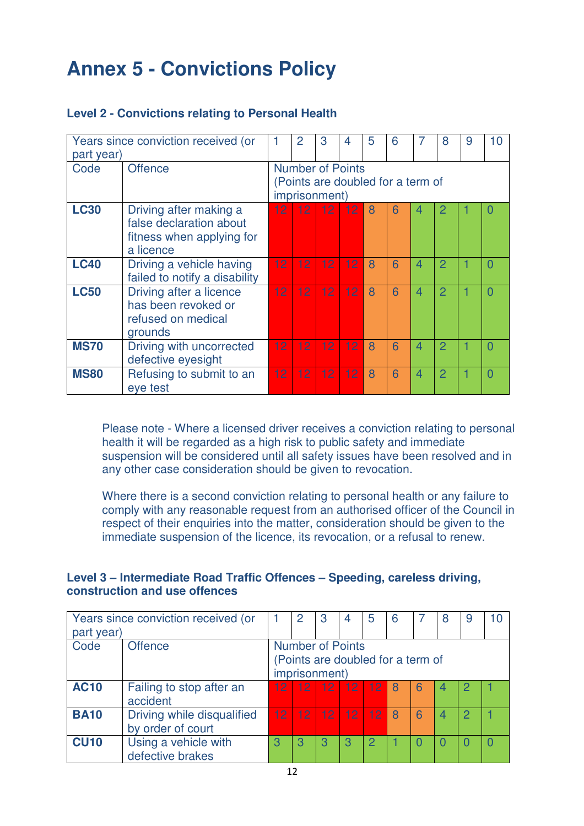| part year)  | Years since conviction received (or                                                         |                                                                               | $\overline{2}$  | 3               | 4               | 5 | 6 |                | 8              | 9 | 10     |
|-------------|---------------------------------------------------------------------------------------------|-------------------------------------------------------------------------------|-----------------|-----------------|-----------------|---|---|----------------|----------------|---|--------|
| Code        | <b>Offence</b>                                                                              | <b>Number of Points</b><br>(Points are doubled for a term of<br>imprisonment) |                 |                 |                 |   |   |                |                |   |        |
| <b>LC30</b> | Driving after making a<br>false declaration about<br>fitness when applying for<br>a licence | 12 <sup>1</sup>                                                               | 12 <sup>2</sup> | 12 <sub>1</sub> | 12              | 8 | 6 | 4              | 2              |   |        |
| <b>LC40</b> | Driving a vehicle having<br>failed to notify a disability                                   | 12 <sub>1</sub>                                                               | 12 <sup>2</sup> | 12 <sup>°</sup> | 12              | 8 | 6 | 4              | $\overline{2}$ |   | $\cup$ |
| <b>LC50</b> | Driving after a licence<br>has been revoked or<br>refused on medical<br>grounds             | 12 <sup>2</sup>                                                               | 12 <sup>2</sup> | 12 <sup>2</sup> | 12 <sub>1</sub> | 8 | 6 | $\overline{4}$ | $\overline{2}$ |   | O      |
| <b>MS70</b> | Driving with uncorrected<br>defective eyesight                                              | 12 <sup>2</sup>                                                               | 12 <sub>1</sub> | 12 <sub>1</sub> | 12 <sub>1</sub> | 8 | 6 | 4              | $\overline{2}$ |   | O      |
| <b>MS80</b> | Refusing to submit to an<br>eye test                                                        | 12 <sup>2</sup>                                                               | 12 <sub>1</sub> | 12 <sub>1</sub> | 12 <sup>2</sup> | 8 | 6 | 4              | $\overline{2}$ |   | $\Box$ |

#### **Level 2 - Convictions relating to Personal Health**

Please note - Where a licensed driver receives a conviction relating to personal health it will be regarded as a high risk to public safety and immediate suspension will be considered until all safety issues have been resolved and in any other case consideration should be given to revocation.

Where there is a second conviction relating to personal health or any failure to comply with any reasonable request from an authorised officer of the Council in respect of their enquiries into the matter, consideration should be given to the immediate suspension of the licence, its revocation, or a refusal to renew.

#### **Level 3 – Intermediate Road Traffic Offences – Speeding, careless driving, construction and use offences**

|             | Years since conviction received (or | 3<br>5<br>2<br>9<br>8             |                 |                   |                 |    |   |   |   |   |  |
|-------------|-------------------------------------|-----------------------------------|-----------------|-------------------|-----------------|----|---|---|---|---|--|
| part year)  |                                     |                                   |                 |                   |                 |    |   |   |   |   |  |
| Code        | <b>Offence</b>                      | <b>Number of Points</b>           |                 |                   |                 |    |   |   |   |   |  |
|             |                                     | (Points are doubled for a term of |                 |                   |                 |    |   |   |   |   |  |
|             |                                     |                                   |                 | imprisonment)     |                 |    |   |   |   |   |  |
| <b>AC10</b> | Failing to stop after an            | 12 <sub>1</sub>                   |                 | $12 \mid 12 \mid$ | 12 <sup>1</sup> | 12 | 8 | 6 |   |   |  |
|             | accident                            |                                   |                 |                   |                 |    |   |   |   |   |  |
| <b>BA10</b> | Driving while disqualified          | 12                                | 12 <sub>1</sub> | 12 <sub>2</sub>   | 12 <sup>°</sup> | 12 | 8 | 6 | 4 | 2 |  |
|             | by order of court                   |                                   |                 |                   |                 |    |   |   |   |   |  |
| <b>CU10</b> | Using a vehicle with                | З                                 | З               | З                 | З               | 2  |   |   |   |   |  |
|             | defective brakes                    |                                   |                 |                   |                 |    |   |   |   |   |  |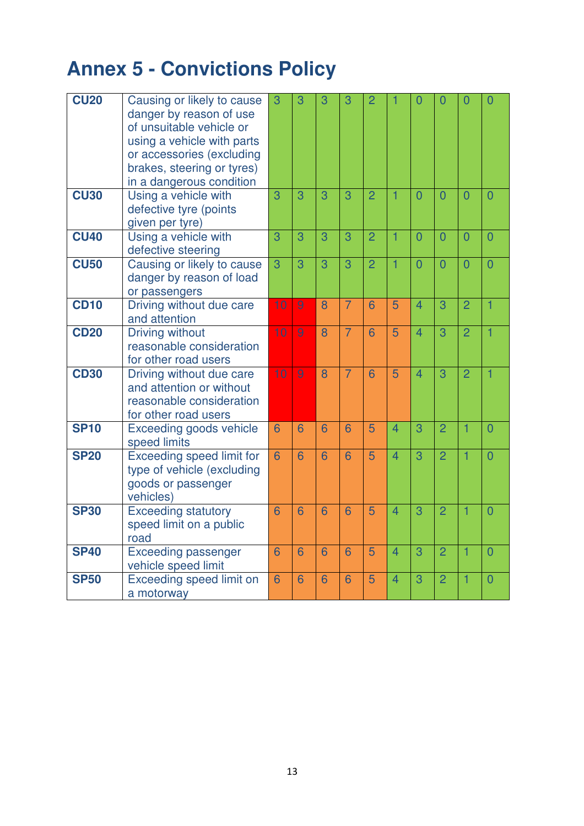| <b>CU20</b> | Causing or likely to cause<br>danger by reason of use<br>of unsuitable vehicle or<br>using a vehicle with parts<br>or accessories (excluding<br>brakes, steering or tyres)<br>in a dangerous condition | 3               | 3 | 3 | 3               | $\overline{2}$ | 1              | 0              | $\overline{0}$ | $\overline{0}$ | $\overline{0}$ |
|-------------|--------------------------------------------------------------------------------------------------------------------------------------------------------------------------------------------------------|-----------------|---|---|-----------------|----------------|----------------|----------------|----------------|----------------|----------------|
| <b>CU30</b> | Using a vehicle with<br>defective tyre (points<br>given per tyre)                                                                                                                                      | $\overline{3}$  | 3 | 3 | 3               | $\overline{2}$ | 1              | $\overline{0}$ | $\overline{0}$ | $\overline{0}$ | $\overline{0}$ |
| <b>CU40</b> | Using a vehicle with<br>defective steering                                                                                                                                                             | 3               | 3 | 3 | 3               | $\overline{2}$ | 1              | $\overline{0}$ | $\overline{0}$ | $\overline{0}$ | $\overline{0}$ |
| <b>CU50</b> | Causing or likely to cause<br>danger by reason of load<br>or passengers                                                                                                                                | $\overline{3}$  | 3 | 3 | 3               | $\overline{2}$ | 1              | $\overline{0}$ | $\overline{0}$ | $\overline{0}$ | $\overline{0}$ |
| <b>CD10</b> | Driving without due care<br>and attention                                                                                                                                                              | 10              | 9 | 8 | $\overline{7}$  | 6              | 5              | $\overline{4}$ | 3              | $\overline{2}$ | $\overline{1}$ |
| <b>CD20</b> | <b>Driving without</b><br>reasonable consideration<br>for other road users                                                                                                                             | 10              | 9 | 8 | $\overline{7}$  | 6              | 5              | 4              | 3              | $\overline{2}$ | $\overline{1}$ |
| <b>CD30</b> | Driving without due care<br>and attention or without<br>reasonable consideration<br>for other road users                                                                                               | 10              | 9 | 8 | $\overline{7}$  | 6              | 5              | $\overline{4}$ | 3              | $\overline{2}$ | $\overline{1}$ |
| <b>SP10</b> | <b>Exceeding goods vehicle</b><br>speed limits                                                                                                                                                         | $\overline{6}$  | 6 | 6 | 6               | 5              | $\overline{4}$ | 3              | $\overline{2}$ | 1              | $\overline{0}$ |
| <b>SP20</b> | <b>Exceeding speed limit for</b><br>type of vehicle (excluding<br>goods or passenger<br>vehicles)                                                                                                      | $6\overline{6}$ | 6 | 6 | 6               | 5              | $\overline{4}$ | 3              | $\overline{2}$ | 1              | $\overline{0}$ |
| <b>SP30</b> | <b>Exceeding statutory</b><br>speed limit on a public<br>road                                                                                                                                          | 6               | 6 | 6 | 6               | 5              | $\overline{4}$ | 3              | $\overline{2}$ | 1              | $\overline{0}$ |
| <b>SP40</b> | <b>Exceeding passenger</b><br>vehicle speed limit                                                                                                                                                      | 6               | 6 | 6 | $6\overline{6}$ | 5              | $\overline{4}$ | 3              | $\overline{2}$ | $\overline{1}$ | $\overline{0}$ |
| <b>SP50</b> | Exceeding speed limit on<br>a motorway                                                                                                                                                                 | $6\overline{6}$ | 6 | 6 | 6               | 5              | $\overline{4}$ | 3              | $\overline{2}$ | 1              | $\overline{0}$ |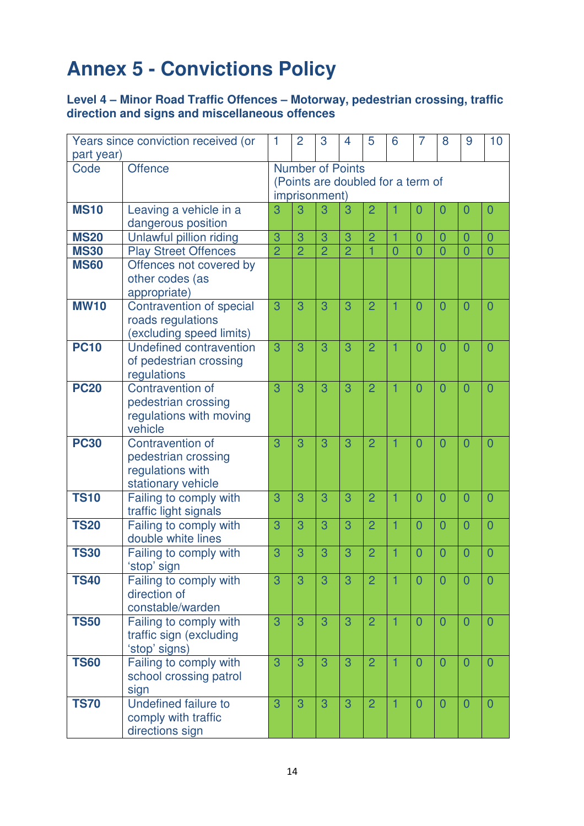#### **Level 4 – Minor Road Traffic Offences – Motorway, pedestrian crossing, traffic direction and signs and miscellaneous offences**

|             | Years since conviction received (or        | 1              | $\overline{2}$          | 3              | 4              | 5              | 6                                 | 7              | 8              | 9              | 10             |
|-------------|--------------------------------------------|----------------|-------------------------|----------------|----------------|----------------|-----------------------------------|----------------|----------------|----------------|----------------|
| part year)  |                                            |                |                         |                |                |                |                                   |                |                |                |                |
| Code        | Offence                                    |                | <b>Number of Points</b> |                |                |                |                                   |                |                |                |                |
|             |                                            |                |                         |                |                |                | (Points are doubled for a term of |                |                |                |                |
|             |                                            |                | imprisonment)           |                |                |                |                                   |                |                |                |                |
| <b>MS10</b> | Leaving a vehicle in a                     | 3              | 3                       | 3              | 3              | $\overline{2}$ |                                   | $\overline{0}$ | $\overline{0}$ | $\overline{0}$ | $\overline{0}$ |
|             | dangerous position                         |                |                         |                |                |                |                                   |                |                |                |                |
| <b>MS20</b> | Unlawful pillion riding                    | 3              | 3                       | 3              | 3              | $\overline{2}$ | 1                                 | $\overline{0}$ | $\overline{0}$ | $\overline{0}$ | $\overline{0}$ |
| <b>MS30</b> | <b>Play Street Offences</b>                | $\overline{2}$ | $\overline{2}$          | $\overline{2}$ | $\overline{2}$ |                | 0                                 | $\overline{0}$ | $\overline{0}$ | $\overline{0}$ | $\overline{0}$ |
| <b>MS60</b> | Offences not covered by                    |                |                         |                |                |                |                                   |                |                |                |                |
|             | other codes (as                            |                |                         |                |                |                |                                   |                |                |                |                |
|             | appropriate)                               |                |                         |                |                |                |                                   |                |                |                |                |
| <b>MW10</b> | Contravention of special                   | 3              | 3                       | 3              | 3              | $\overline{2}$ | 1                                 | $\overline{0}$ | $\overline{0}$ | $\overline{0}$ | $\overline{0}$ |
|             | roads regulations                          |                |                         |                |                |                |                                   |                |                |                |                |
|             | (excluding speed limits)                   |                |                         |                |                |                |                                   |                |                |                |                |
| <b>PC10</b> | Undefined contravention                    | 3              | 3                       | 3              | 3              | $\overline{2}$ | 1                                 | $\overline{0}$ | $\overline{0}$ | $\overline{0}$ | $\overline{0}$ |
|             | of pedestrian crossing                     |                |                         |                |                |                |                                   |                |                |                |                |
|             | regulations                                |                |                         |                |                |                |                                   |                |                |                |                |
| <b>PC20</b> | <b>Contravention of</b>                    | 3              | 3                       | 3              | 3              | $\overline{2}$ | 1                                 | $\overline{0}$ | $\overline{0}$ | $\overline{0}$ | $\overline{0}$ |
|             | pedestrian crossing                        |                |                         |                |                |                |                                   |                |                |                |                |
|             | regulations with moving                    |                |                         |                |                |                |                                   |                |                |                |                |
|             | vehicle                                    |                |                         |                |                |                |                                   |                |                |                |                |
| <b>PC30</b> | <b>Contravention of</b>                    | 3              | 3                       | 3              | 3              | $\overline{2}$ | 1                                 | $\overline{0}$ | $\overline{0}$ | $\overline{0}$ | $\overline{0}$ |
|             | pedestrian crossing                        |                |                         |                |                |                |                                   |                |                |                |                |
|             | regulations with                           |                |                         |                |                |                |                                   |                |                |                |                |
|             | stationary vehicle                         |                |                         |                |                |                |                                   |                |                |                |                |
| <b>TS10</b> | Failing to comply with                     | 3              | 3                       | 3              | 3              | $\overline{2}$ | 1                                 | $\overline{0}$ | $\overline{0}$ | $\overline{0}$ | $\overline{0}$ |
|             | traffic light signals                      |                |                         |                |                |                |                                   |                |                |                |                |
| <b>TS20</b> | Failing to comply with                     | 3              | 3                       | 3              | 3              | $\overline{2}$ | 1                                 | $\overline{0}$ | 0              | $\overline{0}$ | $\overline{0}$ |
|             | double white lines                         |                |                         |                |                |                |                                   |                |                |                |                |
| <b>TS30</b> | Failing to comply with                     | 3              | 3                       | 3              | 3              | $\overline{2}$ | 1                                 | $\overline{0}$ | $\overline{0}$ | $\overline{0}$ | $\overline{0}$ |
|             | 'stop' sign                                |                |                         |                |                |                |                                   |                |                |                |                |
| <b>TS40</b> | Failing to comply with<br>direction of     | 3              | 3                       | 3              | 3              | $\overline{2}$ |                                   | $\Omega$       | 0              | 0              | $\Omega$       |
|             |                                            |                |                         |                |                |                |                                   |                |                |                |                |
| <b>TS50</b> | constable/warden<br>Failing to comply with | 3              | 3                       | 3              | 3              | $\overline{2}$ | 1                                 | $\overline{0}$ | $\overline{0}$ | $\overline{0}$ | $\overline{0}$ |
|             |                                            |                |                         |                |                |                |                                   |                |                |                |                |
|             | traffic sign (excluding                    |                |                         |                |                |                |                                   |                |                |                |                |
| <b>TS60</b> | 'stop' signs)<br>Failing to comply with    | 3              | 3                       | 3              | 3              | $\overline{2}$ | 1                                 | $\overline{0}$ | $\overline{0}$ | $\overline{0}$ | $\overline{0}$ |
|             | school crossing patrol                     |                |                         |                |                |                |                                   |                |                |                |                |
|             |                                            |                |                         |                |                |                |                                   |                |                |                |                |
| <b>TS70</b> | sign<br><b>Undefined failure to</b>        | 3              | 3                       | 3              | 3              | $\overline{2}$ | 1                                 | $\overline{0}$ | $\overline{0}$ | $\overline{0}$ | $\overline{0}$ |
|             | comply with traffic                        |                |                         |                |                |                |                                   |                |                |                |                |
|             | directions sign                            |                |                         |                |                |                |                                   |                |                |                |                |
|             |                                            |                |                         |                |                |                |                                   |                |                |                |                |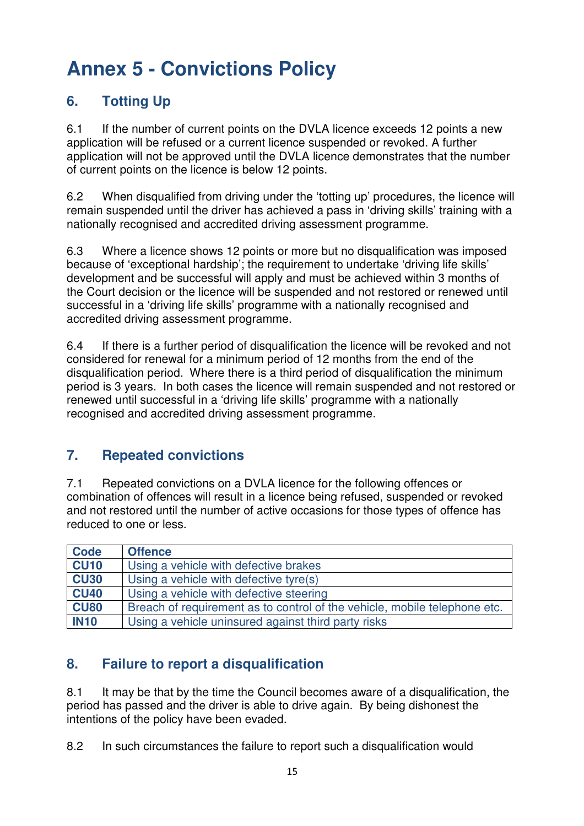## **6. Totting Up**

6.1 If the number of current points on the DVLA licence exceeds 12 points a new application will be refused or a current licence suspended or revoked. A further application will not be approved until the DVLA licence demonstrates that the number of current points on the licence is below 12 points.

6.2 When disqualified from driving under the 'totting up' procedures, the licence will remain suspended until the driver has achieved a pass in 'driving skills' training with a nationally recognised and accredited driving assessment programme.

6.3 Where a licence shows 12 points or more but no disqualification was imposed because of 'exceptional hardship'; the requirement to undertake 'driving life skills' development and be successful will apply and must be achieved within 3 months of the Court decision or the licence will be suspended and not restored or renewed until successful in a 'driving life skills' programme with a nationally recognised and accredited driving assessment programme.

6.4 If there is a further period of disqualification the licence will be revoked and not considered for renewal for a minimum period of 12 months from the end of the disqualification period. Where there is a third period of disqualification the minimum period is 3 years. In both cases the licence will remain suspended and not restored or renewed until successful in a 'driving life skills' programme with a nationally recognised and accredited driving assessment programme.

### **7. Repeated convictions**

7.1 Repeated convictions on a DVLA licence for the following offences or combination of offences will result in a licence being refused, suspended or revoked and not restored until the number of active occasions for those types of offence has reduced to one or less.

| Code        | <b>Offence</b>                                                            |
|-------------|---------------------------------------------------------------------------|
| <b>CU10</b> | Using a vehicle with defective brakes                                     |
| <b>CU30</b> | Using a vehicle with defective tyre(s)                                    |
| <b>CU40</b> | Using a vehicle with defective steering                                   |
| <b>CU80</b> | Breach of requirement as to control of the vehicle, mobile telephone etc. |
| <b>IN10</b> | Using a vehicle uninsured against third party risks                       |

## **8. Failure to report a disqualification**

8.1 It may be that by the time the Council becomes aware of a disqualification, the period has passed and the driver is able to drive again. By being dishonest the intentions of the policy have been evaded.

8.2 In such circumstances the failure to report such a disqualification would